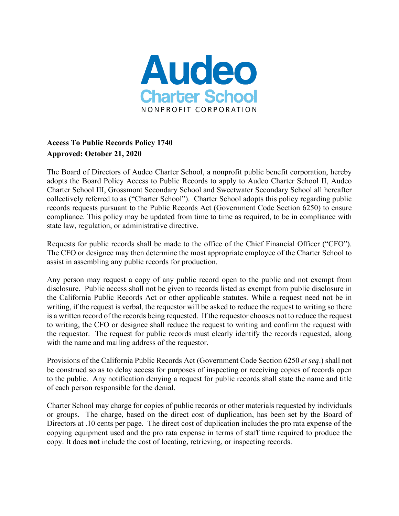

## **Access To Public Records Policy 1740 Approved: October 21, 2020**

The Board of Directors of Audeo Charter School, a nonprofit public benefit corporation, hereby adopts the Board Policy Access to Public Records to apply to Audeo Charter School II, Audeo Charter School III, Grossmont Secondary School and Sweetwater Secondary School all hereafter collectively referred to as ("Charter School"). Charter School adopts this policy regarding public records requests pursuant to the Public Records Act (Government Code Section 6250) to ensure compliance. This policy may be updated from time to time as required, to be in compliance with state law, regulation, or administrative directive.

Requests for public records shall be made to the office of the Chief Financial Officer ("CFO"). The CFO or designee may then determine the most appropriate employee of the Charter School to assist in assembling any public records for production.

Any person may request a copy of any public record open to the public and not exempt from disclosure. Public access shall not be given to records listed as exempt from public disclosure in the California Public Records Act or other applicable statutes. While a request need not be in writing, if the request is verbal, the requestor will be asked to reduce the request to writing so there is a written record of the records being requested. If the requestor chooses not to reduce the request to writing, the CFO or designee shall reduce the request to writing and confirm the request with the requestor. The request for public records must clearly identify the records requested, along with the name and mailing address of the requestor.

Provisions of the California Public Records Act (Government Code Section 6250 *et seq*.) shall not be construed so as to delay access for purposes of inspecting or receiving copies of records open to the public. Any notification denying a request for public records shall state the name and title of each person responsible for the denial.

Charter School may charge for copies of public records or other materials requested by individuals or groups. The charge, based on the direct cost of duplication, has been set by the Board of Directors at .10 cents per page. The direct cost of duplication includes the pro rata expense of the copying equipment used and the pro rata expense in terms of staff time required to produce the copy. It does **not** include the cost of locating, retrieving, or inspecting records.